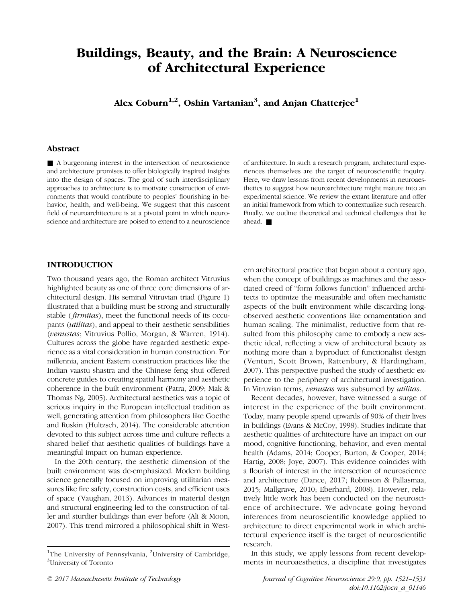# Buildings, Beauty, and the Brain: A Neuroscience of Architectural Experience

Alex Coburn $^{1,2}$ , Oshin Vartanian $^3$ , and Anjan Chatterjee $^1$ 

## Abstract

■ A burgeoning interest in the intersection of neuroscience and architecture promises to offer biologically inspired insights into the design of spaces. The goal of such interdisciplinary approaches to architecture is to motivate construction of environments that would contribute to peoples' flourishing in behavior, health, and well-being. We suggest that this nascent field of neuroarchitecture is at a pivotal point in which neuroscience and architecture are poised to extend to a neuroscience

of architecture. In such a research program, architectural experiences themselves are the target of neuroscientific inquiry. Here, we draw lessons from recent developments in neuroaesthetics to suggest how neuroarchitecture might mature into an experimental science. We review the extant literature and offer an initial framework from which to contextualize such research. Finally, we outline theoretical and technical challenges that lie ahead. ■

## INTRODUCTION

Two thousand years ago, the Roman architect Vitruvius highlighted beauty as one of three core dimensions of architectural design. His seminal Vitruvian triad (Figure 1) illustrated that a building must be strong and structurally stable ( firmitas), meet the functional needs of its occupants (utilitas), and appeal to their aesthetic sensibilities (venustas; Vitruvius Pollio, Morgan, & Warren, 1914). Cultures across the globe have regarded aesthetic experience as a vital consideration in human construction. For millennia, ancient Eastern construction practices like the Indian vaastu shastra and the Chinese feng shui offered concrete guides to creating spatial harmony and aesthetic coherence in the built environment (Patra, 2009; Mak & Thomas Ng, 2005). Architectural aesthetics was a topic of serious inquiry in the European intellectual tradition as well, generating attention from philosophers like Goethe and Ruskin (Hultzsch, 2014). The considerable attention devoted to this subject across time and culture reflects a shared belief that aesthetic qualities of buildings have a meaningful impact on human experience.

In the 20th century, the aesthetic dimension of the built environment was de-emphasized. Modern building science generally focused on improving utilitarian measures like fire safety, construction costs, and efficient uses of space ( Vaughan, 2013). Advances in material design and structural engineering led to the construction of taller and sturdier buildings than ever before (Ali & Moon, 2007). This trend mirrored a philosophical shift in West-

ern architectural practice that began about a century ago, when the concept of buildings as machines and the associated creed of "form follows function" influenced architects to optimize the measurable and often mechanistic aspects of the built environment while discarding longobserved aesthetic conventions like ornamentation and human scaling. The minimalist, reductive form that resulted from this philosophy came to embody a new aesthetic ideal, reflecting a view of architectural beauty as nothing more than a byproduct of functionalist design (Venturi, Scott Brown, Rattenbury, & Hardingham, 2007). This perspective pushed the study of aesthetic experience to the periphery of architectural investigation. In Vitruvian terms, venustas was subsumed by utilitas.

Recent decades, however, have witnessed a surge of interest in the experience of the built environment. Today, many people spend upwards of 90% of their lives in buildings (Evans & McCoy, 1998). Studies indicate that aesthetic qualities of architecture have an impact on our mood, cognitive functioning, behavior, and even mental health (Adams, 2014; Cooper, Burton, & Cooper, 2014; Hartig, 2008; Joye, 2007). This evidence coincides with a flourish of interest in the intersection of neuroscience and architecture (Dance, 2017; Robinson & Pallasmaa, 2015; Mallgrave, 2010; Eberhard, 2008). However, relatively little work has been conducted on the neuroscience of architecture. We advocate going beyond inferences from neuroscientific knowledge applied to architecture to direct experimental work in which architectural experience itself is the target of neuroscientific research.

In this study, we apply lessons from recent developments in neuroaesthetics, a discipline that investigates

© 2017 Massachusetts Institute of Technology Journal of Cognitive Neuroscience 29:9, pp. 1521–1531 doi:10.1162/jocn\_a\_01146

<sup>&</sup>lt;sup>1</sup>The University of Pennsylvania, <sup>2</sup>University of Cambridge,  $\frac{3}{2}$ University of Terente <sup>3</sup>University of Toronto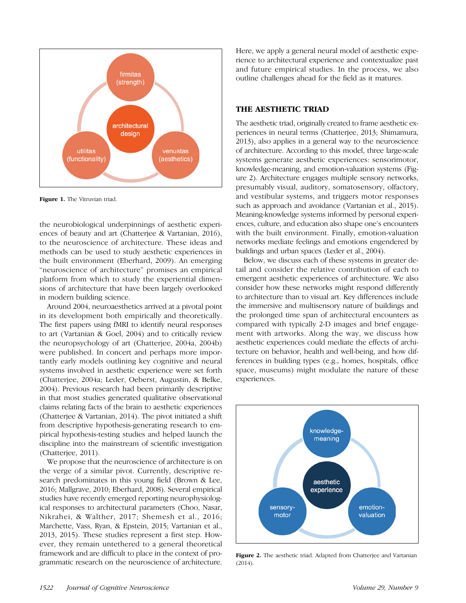

Figure 1. The Vitruvian triad.

the neurobiological underpinnings of aesthetic experiences of beauty and art (Chatterjee & Vartanian, 2016), to the neuroscience of architecture. These ideas and methods can be used to study aesthetic experiences in the built environment (Eberhard, 2009). An emerging "neuroscience of architecture" promises an empirical platform from which to study the experiential dimensions of architecture that have been largely overlooked in modern building science.

Around 2004, neuroaesthetics arrived at a pivotal point in its development both empirically and theoretically. The first papers using fMRI to identify neural responses to art (Vartanian & Goel, 2004) and to critically review the neuropsychology of art (Chatterjee, 2004a, 2004b) were published. In concert and perhaps more importantly early models outlining key cognitive and neural systems involved in aesthetic experience were set forth (Chatterjee, 2004a; Leder, Oeberst, Augustin, & Belke, 2004). Previous research had been primarily descriptive in that most studies generated qualitative observational claims relating facts of the brain to aesthetic experiences (Chatterjee & Vartanian, 2014). The pivot initiated a shift from descriptive hypothesis-generating research to empirical hypothesis-testing studies and helped launch the discipline into the mainstream of scientific investigation (Chatterjee, 2011).

We propose that the neuroscience of architecture is on the verge of a similar pivot. Currently, descriptive research predominates in this young field (Brown & Lee, 2016; Mallgrave, 2010; Eberhard, 2008). Several empirical studies have recently emerged reporting neurophysiological responses to architectural parameters (Choo, Nasar, Nikrahei, & Walther, 2017; Shemesh et al., 2016; Marchette, Vass, Ryan, & Epstein, 2015; Vartanian et al., 2013, 2015). These studies represent a first step. However, they remain untethered to a general theoretical framework and are difficult to place in the context of programmatic research on the neuroscience of architecture.

Here, we apply a general neural model of aesthetic experience to architectural experience and contextualize past and future empirical studies. In the process, we also outline challenges ahead for the field as it matures.

# THE AESTHETIC TRIAD

The aesthetic triad, originally created to frame aesthetic experiences in neural terms (Chatterjee, 2013; Shimamura, 2013), also applies in a general way to the neuroscience of architecture. According to this model, three large-scale systems generate aesthetic experiences: sensorimotor, knowledge-meaning, and emotion-valuation systems (Figure 2). Architecture engages multiple sensory networks, presumably visual, auditory, somatosensory, olfactory, and vestibular systems, and triggers motor responses such as approach and avoidance (Vartanian et al., 2015). Meaning-knowledge systems informed by personal experiences, culture, and education also shape one's encounters with the built environment. Finally, emotion-valuation networks mediate feelings and emotions engendered by buildings and urban spaces (Leder et al., 2004).

Below, we discuss each of these systems in greater detail and consider the relative contribution of each to emergent aesthetic experiences of architecture. We also consider how these networks might respond differently to architecture than to visual art. Key differences include the immersive and multisensory nature of buildings and the prolonged time span of architectural encounters as compared with typically 2-D images and brief engagement with artworks. Along the way, we discuss how aesthetic experiences could mediate the effects of architecture on behavior, health and well-being, and how differences in building types (e.g., homes, hospitals, office space, museums) might modulate the nature of these experiences.



Figure 2. The aesthetic triad. Adapted from Chatterjee and Vartanian  $(2014).$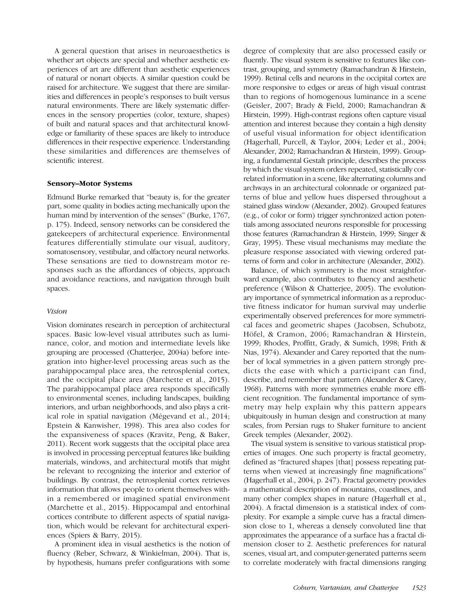A general question that arises in neuroaesthetics is whether art objects are special and whether aesthetic experiences of art are different than aesthetic experiences of natural or nonart objects. A similar question could be raised for architecture. We suggest that there are similarities and differences in people's responses to built versus natural environments. There are likely systematic differences in the sensory properties (color, texture, shapes) of built and natural spaces and that architectural knowledge or familiarity of these spaces are likely to introduce differences in their respective experience. Understanding these similarities and differences are themselves of scientific interest.

#### Sensory–Motor Systems

Edmund Burke remarked that "beauty is, for the greater part, some quality in bodies acting mechanically upon the human mind by intervention of the senses" (Burke, 1767, p. 175). Indeed, sensory networks can be considered the gatekeepers of architectural experience. Environmental features differentially stimulate our visual, auditory, somatosensory, vestibular, and olfactory neural networks. These sensations are tied to downstream motor responses such as the affordances of objects, approach and avoidance reactions, and navigation through built spaces.

#### Vision

Vision dominates research in perception of architectural spaces. Basic low-level visual attributes such as luminance, color, and motion and intermediate levels like grouping are processed (Chatterjee, 2004a) before integration into higher-level processing areas such as the parahippocampal place area, the retrosplenial cortex, and the occipital place area (Marchette et al., 2015). The parahippocampal place area responds specifically to environmental scenes, including landscapes, building interiors, and urban neighborhoods, and also plays a critical role in spatial navigation (Mégevand et al., 2014; Epstein & Kanwisher, 1998). This area also codes for the expansiveness of spaces (Kravitz, Peng, & Baker, 2011). Recent work suggests that the occipital place area is involved in processing perceptual features like building materials, windows, and architectural motifs that might be relevant to recognizing the interior and exterior of buildings. By contrast, the retrosplenial cortex retrieves information that allows people to orient themselves within a remembered or imagined spatial environment (Marchette et al., 2015). Hippocampal and entorhinal cortices contribute to different aspects of spatial navigation, which would be relevant for architectural experiences (Spiers & Barry, 2015).

A prominent idea in visual aesthetics is the notion of fluency (Reber, Schwarz, & Winkielman, 2004). That is, by hypothesis, humans prefer configurations with some

degree of complexity that are also processed easily or fluently. The visual system is sensitive to features like contrast, grouping, and symmetry (Ramachandran & Hirstein, 1999). Retinal cells and neurons in the occipital cortex are more responsive to edges or areas of high visual contrast than to regions of homogenous luminance in a scene (Geisler, 2007; Brady & Field, 2000; Ramachandran & Hirstein, 1999). High-contrast regions often capture visual attention and interest because they contain a high density of useful visual information for object identification (Hagerhall, Purcell, & Taylor, 2004; Leder et al., 2004; Alexander, 2002; Ramachandran & Hirstein, 1999). Grouping, a fundamental Gestalt principle, describes the process by which the visual system orders repeated, statistically correlated information in a scene, like alternating columns and archways in an architectural colonnade or organized patterns of blue and yellow hues dispersed throughout a stained glass window (Alexander, 2002). Grouped features (e.g., of color or form) trigger synchronized action potentials among associated neurons responsible for processing those features (Ramachandran & Hirstein, 1999; Singer & Gray, 1995). These visual mechanisms may mediate the pleasure response associated with viewing ordered patterns of form and color in architecture (Alexander, 2002).

Balance, of which symmetry is the most straightforward example, also contributes to fluency and aesthetic preference (Wilson & Chatterjee, 2005). The evolutionary importance of symmetrical information as a reproductive fitness indicator for human survival may underlie experimentally observed preferences for more symmetrical faces and geometric shapes ( Jacobsen, Schubotz, Höfel, & Cramon, 2006; Ramachandran & Hirstein, 1999; Rhodes, Proffitt, Grady, & Sumich, 1998; Frith & Nias, 1974). Alexander and Carey reported that the number of local symmetries in a given pattern strongly predicts the ease with which a participant can find, describe, and remember that pattern (Alexander & Carey, 1968). Patterns with more symmetries enable more efficient recognition. The fundamental importance of symmetry may help explain why this pattern appears ubiquitously in human design and construction at many scales, from Persian rugs to Shaker furniture to ancient Greek temples (Alexander, 2002).

The visual system is sensitive to various statistical properties of images. One such property is fractal geometry, defined as "fractured shapes [that] possess repeating patterns when viewed at increasingly fine magnifications" (Hagerhall et al., 2004, p. 247). Fractal geometry provides a mathematical description of mountains, coastlines, and many other complex shapes in nature (Hagerhall et al., 2004). A fractal dimension is a statistical index of complexity. For example a simple curve has a fractal dimension close to 1, whereas a densely convoluted line that approximates the appearance of a surface has a fractal dimension closer to 2. Aesthetic preferences for natural scenes, visual art, and computer-generated patterns seem to correlate moderately with fractal dimensions ranging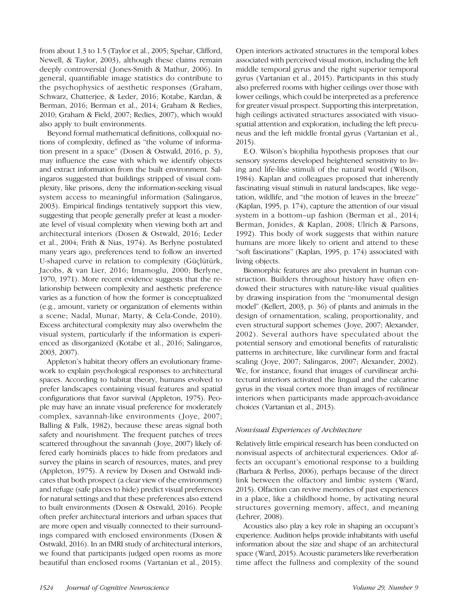from about 1.3 to 1.5 (Taylor et al., 2005; Spehar, Clifford, Newell, & Taylor, 2003), although these claims remain deeply controversial (Jones-Smith & Mathur, 2006). In general, quantifiable image statistics do contribute to the psychophysics of aesthetic responses (Graham, Schwarz, Chatterjee, & Leder, 2016; Kotabe, Kardan, & Berman, 2016; Berman et al., 2014; Graham & Redies, 2010; Graham & Field, 2007; Redies, 2007), which would also apply to built environments.

Beyond formal mathematical definitions, colloquial notions of complexity, defined as "the volume of information present in a space" (Dosen & Ostwald, 2016, p. 3), may influence the ease with which we identify objects and extract information from the built environment. Salingaros suggested that buildings stripped of visual complexity, like prisons, deny the information-seeking visual system access to meaningful information (Salingaros, 2003). Empirical findings tentatively support this view, suggesting that people generally prefer at least a moderate level of visual complexity when viewing both art and architectural interiors (Dosen & Ostwald, 2016; Leder et al., 2004; Frith & Nias, 1974). As Berlyne postulated many years ago, preferences tend to follow an inverted U-shaped curve in relation to complexity (Güçlütürk, Jacobs, & van Lier, 2016; Imamoglu, 2000; Berlyne, 1970, 1971). More recent evidence suggests that the relationship between complexity and aesthetic preference varies as a function of how the former is conceptualized (e.g., amount, variety or organization of elements within a scene; Nadal, Munar, Marty, & Cela-Conde, 2010). Excess architectural complexity may also overwhelm the visual system, particularly if the information is experienced as disorganized (Kotabe et al., 2016; Salingaros, 2003, 2007).

Appleton's habitat theory offers an evolutionary framework to explain psychological responses to architectural spaces. According to habitat theory, humans evolved to prefer landscapes containing visual features and spatial configurations that favor survival (Appleton, 1975). People may have an innate visual preference for moderately complex, savannah-like environments (Joye, 2007; Balling & Falk, 1982), because these areas signal both safety and nourishment. The frequent patches of trees scattered throughout the savannah (Joye, 2007) likely offered early hominids places to hide from predators and survey the plains in search of resources, mates, and prey (Appleton, 1975). A review by Dosen and Ostwald indicates that both prospect (a clear view of the environment) and refuge (safe places to hide) predict visual preferences for natural settings and that these preferences also extend to built environments (Dosen & Ostwald, 2016). People often prefer architectural interiors and urban spaces that are more open and visually connected to their surroundings compared with enclosed environments (Dosen & Ostwald, 2016). In an fMRI study of architectural interiors, we found that participants judged open rooms as more beautiful than enclosed rooms (Vartanian et al., 2015).

Open interiors activated structures in the temporal lobes associated with perceived visual motion, including the left middle temporal gyrus and the right superior temporal gyrus (Vartanian et al., 2015). Participants in this study also preferred rooms with higher ceilings over those with lower ceilings, which could be interpreted as a preference for greater visual prospect. Supporting this interpretation, high ceilings activated structures associated with visuospatial attention and exploration, including the left precuneus and the left middle frontal gyrus (Vartanian et al., 2015).

E.O. Wilson's biophilia hypothesis proposes that our sensory systems developed heightened sensitivity to living and life-like stimuli of the natural world (Wilson, 1984). Kaplan and colleagues proposed that inherently fascinating visual stimuli in natural landscapes, like vegetation, wildlife, and "the motion of leaves in the breeze" (Kaplan, 1995, p. 174), capture the attention of our visual system in a bottom–up fashion (Berman et al., 2014; Berman, Jonides, & Kaplan, 2008; Ulrich & Parsons, 1992). This body of work suggests that within nature humans are more likely to orient and attend to these "soft fascinations" (Kaplan, 1995, p. 174) associated with living objects.

Biomorphic features are also prevalent in human construction. Builders throughout history have often endowed their structures with nature-like visual qualities by drawing inspiration from the "monumental design model" (Kellert, 2003, p. 36) of plants and animals in the design of ornamentation, scaling, proportionality, and even structural support schemes (Joye, 2007; Alexander, 2002). Several authors have speculated about the potential sensory and emotional benefits of naturalistic patterns in architecture, like curvilinear form and fractal scaling (Joye, 2007; Salingaros, 2007; Alexander, 2002). We, for instance, found that images of curvilinear architectural interiors activated the lingual and the calcarine gyrus in the visual cortex more than images of rectilinear interiors when participants made approach-avoidance choices (Vartanian et al., 2013).

# Nonvisual Experiences of Architecture

Relatively little empirical research has been conducted on nonvisual aspects of architectural experiences. Odor affects an occupant's emotional response to a building (Barbara & Perliss, 2006), perhaps because of the direct link between the olfactory and limbic system (Ward, 2015). Olfaction can revive memories of past experiences in a place, like a childhood home, by activating neural structures governing memory, affect, and meaning (Lehrer, 2008).

Acoustics also play a key role in shaping an occupant's experience. Audition helps provide inhabitants with useful information about the size and shape of an architectural space (Ward, 2015). Acoustic parameters like reverberation time affect the fullness and complexity of the sound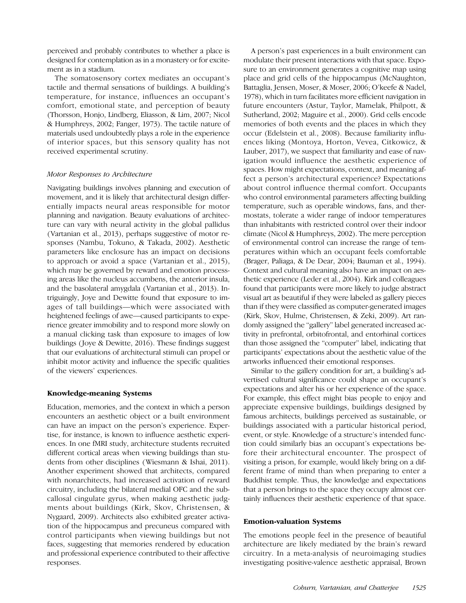perceived and probably contributes to whether a place is designed for contemplation as in a monastery or for excitement as in a stadium.

The somatosensory cortex mediates an occupant's tactile and thermal sensations of buildings. A building's temperature, for instance, influences an occupant's comfort, emotional state, and perception of beauty (Thorsson, Honjo, Lindberg, Eliasson, & Lim, 2007; Nicol & Humphreys, 2002; Fanger, 1973). The tactile nature of materials used undoubtedly plays a role in the experience of interior spaces, but this sensory quality has not received experimental scrutiny.

## Motor Responses to Architecture

Navigating buildings involves planning and execution of movement, and it is likely that architectural design differentially impacts neural areas responsible for motor planning and navigation. Beauty evaluations of architecture can vary with neural activity in the global pallidus (Vartanian et al., 2013), perhaps suggestive of motor responses (Nambu, Tokuno, & Takada, 2002). Aesthetic parameters like enclosure has an impact on decisions to approach or avoid a space (Vartanian et al., 2015), which may be governed by reward and emotion processing areas like the nucleus accumbens, the anterior insula, and the basolateral amygdala (Vartanian et al., 2013). Intriguingly, Joye and Dewitte found that exposure to images of tall buildings—which were associated with heightened feelings of awe—caused participants to experience greater immobility and to respond more slowly on a manual clicking task than exposure to images of low buildings ( Joye & Dewitte, 2016). These findings suggest that our evaluations of architectural stimuli can propel or inhibit motor activity and influence the specific qualities of the viewers' experiences.

# Knowledge-meaning Systems

Education, memories, and the context in which a person encounters an aesthetic object or a built environment can have an impact on the person's experience. Expertise, for instance, is known to influence aesthetic experiences. In one fMRI study, architecture students recruited different cortical areas when viewing buildings than students from other disciplines (Wiesmann & Ishai, 2011). Another experiment showed that architects, compared with nonarchitects, had increased activation of reward circuitry, including the bilateral medial OFC and the subcallosal cingulate gyrus, when making aesthetic judgments about buildings (Kirk, Skov, Christensen, & Nygaard, 2009). Architects also exhibited greater activation of the hippocampus and precuneus compared with control participants when viewing buildings but not faces, suggesting that memories rendered by education and professional experience contributed to their affective responses.

A person's past experiences in a built environment can modulate their present interactions with that space. Exposure to an environment generates a cognitive map using place and grid cells of the hippocampus (McNaughton, Battaglia, Jensen, Moser, & Moser, 2006; O'keefe & Nadel, 1978), which in turn facilitates more efficient navigation in future encounters (Astur, Taylor, Mamelak, Philpott, & Sutherland, 2002; Maguire et al., 2000). Grid cells encode memories of both events and the places in which they occur (Edelstein et al., 2008). Because familiarity influences liking (Montoya, Horton, Vevea, Citkowicz, & Lauber, 2017), we suspect that familiarity and ease of navigation would influence the aesthetic experience of spaces. How might expectations, context, and meaning affect a person's architectural experience? Expectations about control influence thermal comfort. Occupants who control environmental parameters affecting building temperature, such as operable windows, fans, and thermostats, tolerate a wider range of indoor temperatures than inhabitants with restricted control over their indoor climate (Nicol & Humphreys, 2002). The mere perception of environmental control can increase the range of temperatures within which an occupant feels comfortable (Brager, Paliaga, & De Dear, 2004; Bauman et al., 1994). Context and cultural meaning also have an impact on aesthetic experience (Leder et al., 2004). Kirk and colleagues found that participants were more likely to judge abstract visual art as beautiful if they were labeled as gallery pieces than if they were classified as computer-generated images (Kirk, Skov, Hulme, Christensen, & Zeki, 2009). Art randomly assigned the "gallery" label generated increased activity in prefrontal, orbitofrontal, and entorhinal cortices than those assigned the "computer" label, indicating that participants' expectations about the aesthetic value of the artworks influenced their emotional responses.

Similar to the gallery condition for art, a building's advertised cultural significance could shape an occupant's expectations and alter his or her experience of the space. For example, this effect might bias people to enjoy and appreciate expensive buildings, buildings designed by famous architects, buildings perceived as sustainable, or buildings associated with a particular historical period, event, or style. Knowledge of a structure's intended function could similarly bias an occupant's expectations before their architectural encounter. The prospect of visiting a prison, for example, would likely bring on a different frame of mind than when preparing to enter a Buddhist temple. Thus, the knowledge and expectations that a person brings to the space they occupy almost certainly influences their aesthetic experience of that space.

## Emotion-valuation Systems

The emotions people feel in the presence of beautiful architecture are likely mediated by the brain's reward circuitry. In a meta-analysis of neuroimaging studies investigating positive-valence aesthetic appraisal, Brown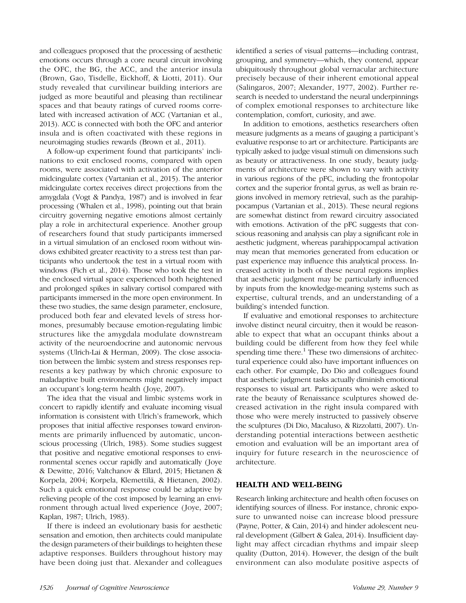and colleagues proposed that the processing of aesthetic emotions occurs through a core neural circuit involving the OFC, the BG, the ACC, and the anterior insula (Brown, Gao, Tisdelle, Eickhoff, & Liotti, 2011). Our study revealed that curvilinear building interiors are judged as more beautiful and pleasing than rectilinear spaces and that beauty ratings of curved rooms correlated with increased activation of ACC (Vartanian et al., 2013). ACC is connected with both the OFC and anterior insula and is often coactivated with these regions in neuroimaging studies rewards (Brown et al., 2011).

A follow-up experiment found that participants' inclinations to exit enclosed rooms, compared with open rooms, were associated with activation of the anterior midcingulate cortex (Vartanian et al., 2015). The anterior midcingulate cortex receives direct projections from the amygdala (Vogt & Pandya, 1987) and is involved in fear processing (Whalen et al., 1998), pointing out that brain circuitry governing negative emotions almost certainly play a role in architectural experience. Another group of researchers found that study participants immersed in a virtual simulation of an enclosed room without windows exhibited greater reactivity to a stress test than participants who undertook the test in a virtual room with windows (Fich et al., 2014). Those who took the test in the enclosed virtual space experienced both heightened and prolonged spikes in salivary cortisol compared with participants immersed in the more open environment. In these two studies, the same design parameter, enclosure, produced both fear and elevated levels of stress hormones, presumably because emotion-regulating limbic structures like the amygdala modulate downstream activity of the neuroendocrine and autonomic nervous systems (Ulrich-Lai & Herman, 2009). The close association between the limbic system and stress responses represents a key pathway by which chronic exposure to maladaptive built environments might negatively impact an occupant's long-term health ( Joye, 2007).

The idea that the visual and limbic systems work in concert to rapidly identify and evaluate incoming visual information is consistent with Ulrich's framework, which proposes that initial affective responses toward environments are primarily influenced by automatic, unconscious processing (Ulrich, 1983). Some studies suggest that positive and negative emotional responses to environmental scenes occur rapidly and automatically ( Joye & Dewitte, 2016; Valtchanov & Ellard, 2015; Hietanen & Korpela, 2004; Korpela, Klemettilä, & Hietanen, 2002). Such a quick emotional response could be adaptive by relieving people of the cost imposed by learning an environment through actual lived experience (Joye, 2007; Kaplan, 1987; Ulrich, 1983).

If there is indeed an evolutionary basis for aesthetic sensation and emotion, then architects could manipulate the design parameters of their buildings to heighten these adaptive responses. Builders throughout history may have been doing just that. Alexander and colleagues identified a series of visual patterns—including contrast, grouping, and symmetry—which, they contend, appear ubiquitously throughout global vernacular architecture precisely because of their inherent emotional appeal (Salingaros, 2007; Alexander, 1977, 2002). Further research is needed to understand the neural underpinnings of complex emotional responses to architecture like contemplation, comfort, curiosity, and awe.

In addition to emotions, aesthetics researchers often measure judgments as a means of gauging a participant's evaluative response to art or architecture. Participants are typically asked to judge visual stimuli on dimensions such as beauty or attractiveness. In one study, beauty judgments of architecture were shown to vary with activity in various regions of the pFC, including the frontopolar cortex and the superior frontal gyrus, as well as brain regions involved in memory retrieval, such as the parahippocampus (Vartanian et al., 2013). These neural regions are somewhat distinct from reward circuitry associated with emotions. Activation of the pFC suggests that conscious reasoning and analysis can play a significant role in aesthetic judgment, whereas parahippocampal activation may mean that memories generated from education or past experience may influence this analytical process. Increased activity in both of these neural regions implies that aesthetic judgment may be particularly influenced by inputs from the knowledge-meaning systems such as expertise, cultural trends, and an understanding of a building's intended function.

If evaluative and emotional responses to architecture involve distinct neural circuitry, then it would be reasonable to expect that what an occupant thinks about a building could be different from how they feel while spending time there.<sup>1</sup> These two dimensions of architectural experience could also have important influences on each other. For example, Do Dio and colleagues found that aesthetic judgment tasks actually diminish emotional responses to visual art. Participants who were asked to rate the beauty of Renaissance sculptures showed decreased activation in the right insula compared with those who were merely instructed to passively observe the sculptures (Di Dio, Macaluso, & Rizzolatti, 2007). Understanding potential interactions between aesthetic emotion and evaluation will be an important area of inquiry for future research in the neuroscience of architecture.

# HEALTH AND WELL-BEING

Research linking architecture and health often focuses on identifying sources of illness. For instance, chronic exposure to unwanted noise can increase blood pressure (Payne, Potter, & Cain, 2014) and hinder adolescent neural development (Gilbert & Galea, 2014). Insufficient daylight may affect circadian rhythms and impair sleep quality (Dutton, 2014). However, the design of the built environment can also modulate positive aspects of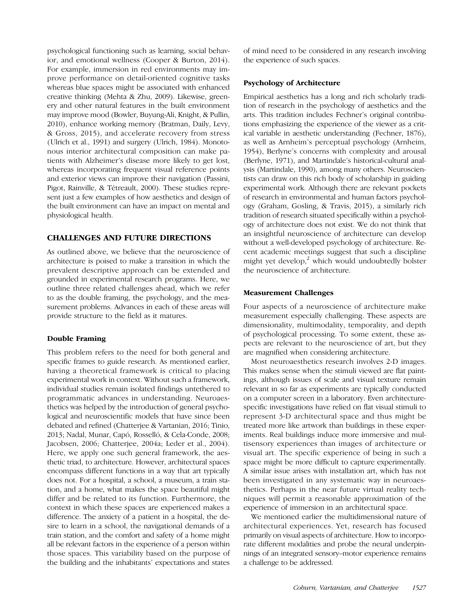psychological functioning such as learning, social behavior, and emotional wellness (Cooper & Burton, 2014). For example, immersion in red environments may improve performance on detail-oriented cognitive tasks whereas blue spaces might be associated with enhanced creative thinking (Mehta & Zhu, 2009). Likewise, greenery and other natural features in the built environment may improve mood (Bowler, Buyung-Ali, Knight, & Pullin, 2010), enhance working memory (Bratman, Daily, Levy, & Gross, 2015), and accelerate recovery from stress (Ulrich et al., 1991) and surgery (Ulrich, 1984). Monotonous interior architectural composition can make patients with Alzheimer's disease more likely to get lost, whereas incorporating frequent visual reference points and exterior views can improve their navigation (Passini, Pigot, Rainville, & Tétreault, 2000). These studies represent just a few examples of how aesthetics and design of the built environment can have an impact on mental and physiological health.

# CHALLENGES AND FUTURE DIRECTIONS

As outlined above, we believe that the neuroscience of architecture is poised to make a transition in which the prevalent descriptive approach can be extended and grounded in experimental research programs. Here, we outline three related challenges ahead, which we refer to as the double framing, the psychology, and the measurement problems. Advances in each of these areas will provide structure to the field as it matures.

## Double Framing

This problem refers to the need for both general and specific frames to guide research. As mentioned earlier, having a theoretical framework is critical to placing experimental work in context. Without such a framework, individual studies remain isolated findings untethered to programmatic advances in understanding. Neuroaesthetics was helped by the introduction of general psychological and neuroscientific models that have since been debated and refined (Chatterjee & Vartanian, 2016; Tinio, 2013; Nadal, Munar, Capó, Rosselló, & Cela-Conde, 2008; Jacobsen, 2006; Chatterjee, 2004a; Leder et al., 2004). Here, we apply one such general framework, the aesthetic triad, to architecture. However, architectural spaces encompass different functions in a way that art typically does not. For a hospital, a school, a museum, a train station, and a home, what makes the space beautiful might differ and be related to its function. Furthermore, the context in which these spaces are experienced makes a difference. The anxiety of a patient in a hospital, the desire to learn in a school, the navigational demands of a train station, and the comfort and safety of a home might all be relevant factors in the experience of a person within those spaces. This variability based on the purpose of the building and the inhabitants' expectations and states

of mind need to be considered in any research involving the experience of such spaces.

## Psychology of Architecture

Empirical aesthetics has a long and rich scholarly tradition of research in the psychology of aesthetics and the arts. This tradition includes Fechner's original contributions emphasizing the experience of the viewer as a critical variable in aesthetic understanding (Fechner, 1876), as well as Arnheim's perceptual psychology (Arnheim, 1954), Berlyne's concerns with complexity and arousal (Berlyne, 1971), and Martindale's historical-cultural analysis (Martindale, 1990), among many others. Neuroscientists can draw on this rich body of scholarship in guiding experimental work. Although there are relevant pockets of research in environmental and human factors psychology (Graham, Gosling, & Travis, 2015), a similarly rich tradition of research situated specifically within a psychology of architecture does not exist. We do not think that an insightful neuroscience of architecture can develop without a well-developed psychology of architecture. Recent academic meetings suggest that such a discipline might yet develop, $^{2}$  which would undoubtedly bolster the neuroscience of architecture.

### Measurement Challenges

Four aspects of a neuroscience of architecture make measurement especially challenging. These aspects are dimensionality, multimodality, temporality, and depth of psychological processing. To some extent, these aspects are relevant to the neuroscience of art, but they are magnified when considering architecture.

Most neuroaesthetics research involves 2-D images. This makes sense when the stimuli viewed are flat paintings, although issues of scale and visual texture remain relevant in so far as experiments are typically conducted on a computer screen in a laboratory. Even architecturespecific investigations have relied on flat visual stimuli to represent 3-D architectural space and thus might be treated more like artwork than buildings in these experiments. Real buildings induce more immersive and multisensory experiences than images of architecture or visual art. The specific experience of being in such a space might be more difficult to capture experimentally. A similar issue arises with installation art, which has not been investigated in any systematic way in neuroaesthetics. Perhaps in the near future virtual reality techniques will permit a reasonable approximation of the experience of immersion in an architectural space.

We mentioned earlier the multidimensional nature of architectural experiences. Yet, research has focused primarily on visual aspects of architecture. How to incorporate different modalities and probe the neural underpinnings of an integrated sensory–motor experience remains a challenge to be addressed.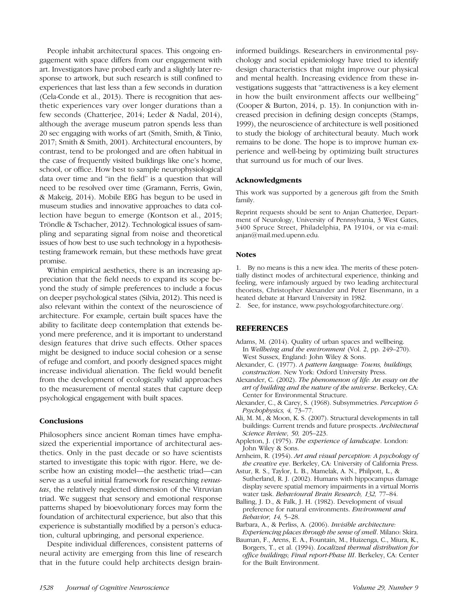People inhabit architectural spaces. This ongoing engagement with space differs from our engagement with art. Investigators have probed early and a slightly later response to artwork, but such research is still confined to experiences that last less than a few seconds in duration (Cela-Conde et al., 2013). There is recognition that aesthetic experiences vary over longer durations than a few seconds (Chatterjee, 2014; Leder & Nadal, 2014), although the average museum patron spends less than 20 sec engaging with works of art (Smith, Smith, & Tinio, 2017; Smith & Smith, 2001). Architectural encounters, by contrast, tend to be prolonged and are often habitual in the case of frequently visited buildings like one's home, school, or office. How best to sample neurophysiological data over time and "in the field" is a question that will need to be resolved over time (Gramann, Ferris, Gwin, & Makeig, 2014). Mobile EEG has begun to be used in museum studies and innovative approaches to data collection have begun to emerge (Kontson et al., 2015; Tröndle & Tschacher, 2012). Technological issues of sampling and separating signal from noise and theoretical issues of how best to use such technology in a hypothesistesting framework remain, but these methods have great promise.

Within empirical aesthetics, there is an increasing appreciation that the field needs to expand its scope beyond the study of simple preferences to include a focus on deeper psychological states (Silvia, 2012). This need is also relevant within the context of the neuroscience of architecture. For example, certain built spaces have the ability to facilitate deep contemplation that extends beyond mere preference, and it is important to understand design features that drive such effects. Other spaces might be designed to induce social cohesion or a sense of refuge and comfort, and poorly designed spaces might increase individual alienation. The field would benefit from the development of ecologically valid approaches to the measurement of mental states that capture deep psychological engagement with built spaces.

## Conclusions

Philosophers since ancient Roman times have emphasized the experiential importance of architectural aesthetics. Only in the past decade or so have scientists started to investigate this topic with rigor. Here, we describe how an existing model—the aesthetic triad—can serve as a useful initial framework for researching *venus*tas, the relatively neglected dimension of the Vitruvian triad. We suggest that sensory and emotional response patterns shaped by bioevolutionary forces may form the foundation of architectural experience, but also that this experience is substantially modified by a person's education, cultural upbringing, and personal experience.

Despite individual differences, consistent patterns of neural activity are emerging from this line of research that in the future could help architects design braininformed buildings. Researchers in environmental psychology and social epidemiology have tried to identify design characteristics that might improve our physical and mental health. Increasing evidence from these investigations suggests that "attractiveness is a key element in how the built environment affects our wellbeing" (Cooper & Burton, 2014, p. 13). In conjunction with increased precision in defining design concepts (Stamps, 1999), the neuroscience of architecture is well positioned to study the biology of architectural beauty. Much work remains to be done. The hope is to improve human experience and well-being by optimizing built structures that surround us for much of our lives.

#### Acknowledgments

This work was supported by a generous gift from the Smith family.

Reprint requests should be sent to Anjan Chatterjee, Department of Neurology, University of Pennsylvania, 3 West Gates, 3400 Spruce Street, Philadelphia, PA 19104, or via e-mail: anjan@mail.med.upenn.edu.

#### **Notes**

1. By no means is this a new idea. The merits of these potentially distinct modes of architectural experience, thinking and feeling, were infamously argued by two leading architectural theorists, Christopher Alexander and Peter Eisenmann, in a heated debate at Harvard University in 1982.

2. See, for instance, www.psychologyofarchitecture.org/.

#### **REFERENCES**

- Adams, M. (2014). Quality of urban spaces and wellbeing. In Wellbeing and the environment (Vol. 2, pp. 249–270). West Sussex, England: John Wiley & Sons.
- Alexander, C. (1977). A pattern language: Towns, buildings, construction. New York: Oxford University Press.
- Alexander, C. (2002). The phenomenon of life: An essay on the art of building and the nature of the universe. Berkeley, CA: Center for Environmental Structure.
- Alexander, C., & Carey, S. (1968). Subsymmetries. Perception & Psychophysics, 4, 73–77.
- Ali, M. M., & Moon, K. S. (2007). Structural developments in tall buildings: Current trends and future prospects. Architectural Science Review, 50, 205–223.
- Appleton, J. (1975). The experience of landscape. London: John Wiley & Sons.
- Arnheim, R. (1954). Art and visual perception: A psychology of the creative eye. Berkeley, CA: University of California Press.
- Astur, R. S., Taylor, L. B., Mamelak, A. N., Philpott, L., & Sutherland, R. J. (2002). Humans with hippocampus damage display severe spatial memory impairments in a virtual Morris water task. Behavioural Brain Research, 132, 77–84.
- Balling, J. D., & Falk, J. H. (1982). Development of visual preference for natural environments. Environment and Behavior, 14, 5–28.
- Barbara, A., & Perliss, A. (2006). Invisible architecture: Experiencing places through the sense of smell. Milano: Skira.
- Bauman, F., Arens, E. A., Fountain, M., Huizenga, C., Miura, K., Borgers, T., et al. (1994). Localized thermal distribution for office buildings; Final report-Phase III. Berkeley, CA: Center for the Built Environment.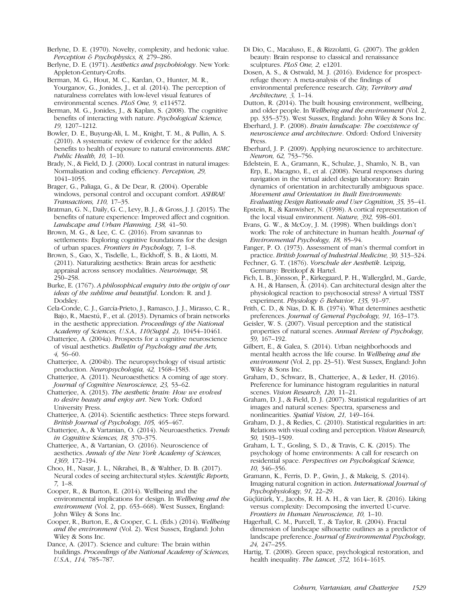Berlyne, D. E. (1970). Novelty, complexity, and hedonic value. Perception & Psychophysics, 8, 279–286.

Berlyne, D. E. (1971). Aesthetics and psychobiology. New York: Appleton-Century-Crofts.

Berman, M. G., Hout, M. C., Kardan, O., Hunter, M. R., Yourganov, G., Jonides, J., et al. (2014). The perception of naturalness correlates with low-level visual features of environmental scenes. PLoS One, 9, e114572.

Berman, M. G., Jonides, J., & Kaplan, S. (2008). The cognitive benefits of interacting with nature. Psychological Science, 19, 1207–1212.

Bowler, D. E., Buyung-Ali, L. M., Knight, T. M., & Pullin, A. S. (2010). A systematic review of evidence for the added benefits to health of exposure to natural environments. BMC Public Health, 10, 1–10.

Brady, N., & Field, D. J. (2000). Local contrast in natural images: Normalisation and coding efficiency. Perception, 29, 1041–1055.

Brager, G., Paliaga, G., & De Dear, R. (2004). Operable windows, personal control and occupant comfort. ASHRAE Transactions, 110, 17–35.

Bratman, G. N., Daily, G. C., Levy, B. J., & Gross, J. J. (2015). The benefits of nature experience: Improved affect and cognition. Landscape and Urban Planning, 138, 41–50.

Brown, M. G., & Lee, C. C. (2016). From savannas to settlements: Exploring cognitive foundations for the design of urban spaces. Frontiers in Psychology, 7, 1–8.

Brown, S., Gao, X., Tisdelle, L., Eickhoff, S. B., & Liotti, M. (2011). Naturalizing aesthetics: Brain areas for aesthetic appraisal across sensory modalities. Neuroimage, 58, 250–258.

Burke, E. (1767). A philosophical enquiry into the origin of our ideas of the sublime and beautiful. London: R. and J. Dodsley.

Cela-Conde, C. J., García-Prieto, J., Ramasco, J. J., Mirasso, C. R., Bajo, R., Maestú, F., et al. (2013). Dynamics of brain networks in the aesthetic appreciation. Proceedings of the National Academy of Sciences, U.S.A., 110(Suppl. 2), 10454–10461.

Chatterjee, A. (2004a). Prospects for a cognitive neuroscience of visual aesthetics. Bulletin of Psychology and the Arts,  $4,56-60.$ 

Chatterjee, A. (2004b). The neuropsychology of visual artistic production. Neuropsychologia, 42, 1568–1583.

Chatterjee, A. (2011). Neuroaesthetics: A coming of age story. Journal of Cognitive Neuroscience, 23, 53–62.

Chatterjee, A. (2013). The aesthetic brain: How we evolved to desire beauty and enjoy art. New York: Oxford University Press.

Chatterjee, A. (2014). Scientific aesthetics: Three steps forward. British Journal of Psychology, 105, 465–467.

Chatterjee, A., & Vartanian, O. (2014). Neuroaesthetics. Trends in Cognitive Sciences, 18, 370–375.

Chatterjee, A., & Vartanian, O. (2016). Neuroscience of aesthetics. Annals of the New York Academy of Sciences, 1369, 172–194.

Choo, H., Nasar, J. L., Nikrahei, B., & Walther, D. B. (2017). Neural codes of seeing architectural styles. Scientific Reports, 7, 1–8.

Cooper, R., & Burton, E. (2014). Wellbeing and the environmental implications for design. In Wellbeing and the environment (Vol. 2, pp. 653–668). West Sussex, England: John Wiley & Sons Inc.

Cooper, R., Burton, E., & Cooper, C. L. (Eds.) (2014). Wellbeing and the environment (Vol. 2). West Sussex, England: John Wiley & Sons Inc.

Dance, A. (2017). Science and culture: The brain within buildings. Proceedings of the National Academy of Sciences, U.S.A., 114, 785–787.

Di Dio, C., Macaluso, E., & Rizzolatti, G. (2007). The golden beauty: Brain response to classical and renaissance sculptures. PLoS One, 2, e1201.

Dosen, A. S., & Ostwald, M. J. (2016). Evidence for prospectrefuge theory: A meta-analysis of the findings of environmental preference research. City, Territory and Architecture, 3, 1–14.

Dutton, R. (2014). The built housing environment, wellbeing, and older people. In Wellbeing and the environment (Vol. 2, pp. 335–373). West Sussex, England: John Wiley & Sons Inc.

Eberhard, J. P. (2008). Brain landscape: The coexistence of neuroscience and architecture. Oxford: Oxford University Press.

Eberhard, J. P. (2009). Applying neuroscience to architecture. Neuron, 62, 753–756.

Edelstein, E. A., Gramann, K., Schulze, J., Shamlo, N. B., van Erp, E., Macagno, E., et al. (2008). Neural responses during navigation in the virtual aided design laboratory: Brain dynamics of orientation in architecturally ambiguous space. Movement and Orientation in Built Environments: Evaluating Design Rationale and User Cognition, 35, 35–41.

Epstein, R., & Kanwisher, N. (1998). A cortical representation of the local visual environment. Nature, 392, 598–601.

Evans, G. W., & McCoy, J. M. (1998). When buildings don't work: The role of architecture in human health. *Journal of* Environmental Psychology, 18, 85–94.

Fanger, P. O. (1973). Assessment of man's thermal comfort in practice. British Journal of Industrial Medicine, 30, 313–324.

Fechner, G. T. (1876). Vorschule der Aesthetik. Leipzig, Germany: Breitkopf & Hartel.

Fich, L. B., Jönsson, P., Kirkegaard, P. H., Wallergård, M., Garde, A. H., & Hansen, Å. (2014). Can architectural design alter the physiological reaction to psychosocial stress? A virtual TSST experiment. Physiology & Behavior, 135, 91–97.

Frith, C. D., & Nias, D. K. B. (1974). What determines aesthetic preferences. Journal of General Psychology, 91, 163–173.

Geisler, W. S. (2007). Visual perception and the statistical properties of natural scenes. Annual Review of Psychology, 59, 167–192.

Gilbert, E., & Galea, S. (2014). Urban neighborhoods and mental health across the life course. In Wellbeing and the environment (Vol. 2, pp. 23–51). West Sussex, England: John Wiley & Sons Inc.

Graham, D., Schwarz, B., Chatterjee, A., & Leder, H. (2016). Preference for luminance histogram regularities in natural scenes. Vision Research, 120, 11–21.

Graham, D. J., & Field, D. J. (2007). Statistical regularities of art images and natural scenes: Spectra, sparseness and nonlinearities. Spatial Vision, 21, 149–164.

Graham, D. J., & Redies, C. (2010). Statistical regularities in art: Relations with visual coding and perception. Vision Research, 50, 1503–1509.

Graham, L. T., Gosling, S. D., & Travis, C. K. (2015). The psychology of home environments: A call for research on residential space. Perspectives on Psychological Science, 10, 346–356.

Gramann, K., Ferris, D. P., Gwin, J., & Makeig, S. (2014). Imaging natural cognition in action. International Journal of Psychophysiology, 91, 22–29.

Güçlütürk, Y., Jacobs, R. H. A. H., & van Lier, R. (2016). Liking versus complexity: Decomposing the inverted U-curve. Frontiers in Human Neuroscience, 10, 1–10.

Hagerhall, C. M., Purcell, T., & Taylor, R. (2004). Fractal dimension of landscape silhouette outlines as a predictor of landscape preference. Journal of Environmental Psychology, 24, 247–255.

Hartig, T. (2008). Green space, psychological restoration, and health inequality. The Lancet, 372, 1614–1615.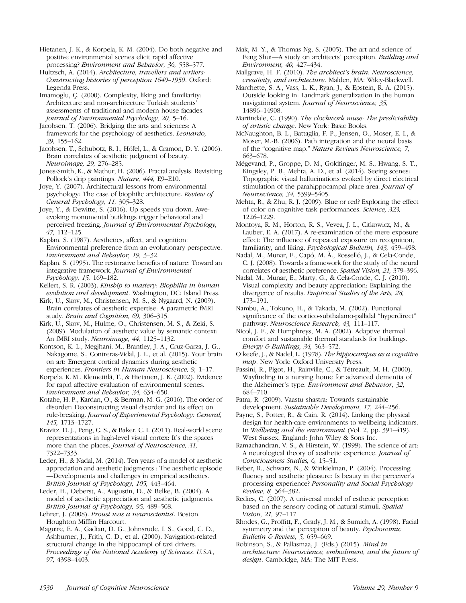Hietanen, J. K., & Korpela, K. M. (2004). Do both negative and positive environmental scenes elicit rapid affective processing? Environment and Behavior, 36, 558–577.

Hultzsch, A. (2014). Architecture, travellers and writers: Constructing histories of perception 1640–1950. Oxford: Legenda Press.

Imamoglu, Ç. (2000). Complexity, liking and familiarity: Architecture and non-architecture Turkish students' assessments of traditional and modern house facades. Journal of Environmental Psychology, 20, 5–16.

Jacobsen, T. (2006). Bridging the arts and sciences: A framework for the psychology of aesthetics. Leonardo, 39, 155–162.

Jacobsen, T., Schubotz, R. I., Höfel, L., & Cramon, D. Y. (2006). Brain correlates of aesthetic judgment of beauty. Neuroimage, 29, 276–285.

Jones-Smith, K., & Mathur, H. (2006). Fractal analysis: Revisiting Pollock's drip paintings. Nature, 444, E9–E10.

Joye, Y. (2007). Architectural lessons from environmental psychology: The case of biophilic architecture. Review of General Psychology, 11, 305–328.

Joye, Y., & Dewitte, S. (2016). Up speeds you down. Aweevoking monumental buildings trigger behavioral and perceived freezing. Journal of Environmental Psychology, 47, 112–125.

Kaplan, S. (1987). Aesthetics, affect, and cognition: Environmental preference from an evolutionary perspective. Environment and Behavior, 19, 3–32.

Kaplan, S. (1995). The restorative benefits of nature: Toward an integrative framework. Journal of Environmental Psychology, 15, 169–182.

Kellert, S. R. (2003). Kinship to mastery: Biophilia in human evolution and development. Washington, DC: Island Press.

Kirk, U., Skov, M., Christensen, M. S., & Nygaard, N. (2009). Brain correlates of aesthetic expertise: A parametric fMRI study. Brain and Cognition, 69, 306–315.

Kirk, U., Skov, M., Hulme, O., Christensen, M. S., & Zeki, S. (2009). Modulation of aesthetic value by semantic context: An fMRI study. Neuroimage, 44, 1125–1132.

Kontson, K. L., Megjhani, M., Brantley, J. A., Cruz-Garza, J. G., Nakagome, S., Contreras-Vidal, J. L., et al. (2015). Your brain on art: Emergent cortical dynamics during aesthetic experiences. Frontiers in Human Neuroscience, 9, 1–17.

Korpela, K. M., Klemettilä, T., & Hietanen, J. K. (2002). Evidence for rapid affective evaluation of environmental scenes. Environment and Behavior, 34, 634–650.

Kotabe, H. P., Kardan, O., & Berman, M. G. (2016). The order of disorder: Deconstructing visual disorder and its effect on rule-breaking. Journal of Experimental Psychology: General, 145, 1713–1727.

Kravitz, D. J., Peng, C. S., & Baker, C. I. (2011). Real-world scene representations in high-level visual cortex: It's the spaces more than the places. *Journal of Neuroscience*, 31, 7322–7333.

Leder, H., & Nadal, M. (2014). Ten years of a model of aesthetic appreciation and aesthetic judgments : The aesthetic episode —Developments and challenges in empirical aesthetics. British Journal of Psychology, 105, 443–464.

Leder, H., Oeberst, A., Augustin, D., & Belke, B. (2004). A model of aesthetic appreciation and aesthetic judgments. British Journal of Psychology, 95, 489–508.

Lehrer, J. (2008). Proust was a neuroscientist. Boston: Houghton Mifflin Harcourt.

Maguire, E. A., Gadian, D. G., Johnsrude, I. S., Good, C. D., Ashburner, J., Frith, C. D., et al. (2000). Navigation-related structural change in the hippocampi of taxi drivers. Proceedings of the National Academy of Sciences, U.S.A., 97, 4398–4403.

Mak, M. Y., & Thomas Ng, S. (2005). The art and science of Feng Shui—A study on architects' perception. Building and Environment, 40, 427–434.

Mallgrave, H. F. (2010). The architect's brain: Neuroscience, creativity, and architecture. Malden, MA: Wiley-Blackwell.

Marchette, S. A., Vass, L. K., Ryan, J., & Epstein, R. A. (2015). Outside looking in: Landmark generalization in the human navigational system. Journal of Neuroscience, 35, 14896–14908.

Martindale, C. (1990). The clockwork muse: The predictability of artistic change. New York: Basic Books.

McNaughton, B. L., Battaglia, F. P., Jensen, O., Moser, E. I., & Moser, M.-B. (2006). Path integration and the neural basis of the "cognitive map." Nature Reviews Neuroscience, 7, 663–678.

Mégevand, P., Groppe, D. M., Goldfinger, M. S., Hwang, S. T., Kingsley, P. B., Mehta, A. D., et al. (2014). Seeing scenes: Topographic visual hallucinations evoked by direct electrical stimulation of the parahippocampal place area. Journal of Neuroscience, 34, 5399–5405.

Mehta, R., & Zhu, R. J. (2009). Blue or red? Exploring the effect of color on cognitive task performances. Science, 323, 1226–1229.

Montoya, R. M., Horton, R. S., Vevea, J. L., Citkowicz, M., & Lauber, E. A. (2017). A re-examination of the mere exposure effect: The influence of repeated exposure on recognition, familiarity, and liking. Psychological Bulletin, 143, 459–498.

Nadal, M., Munar, E., Capó, M. À., Rosselló, J., & Cela-Conde, C. J. (2008). Towards a framework for the study of the neural correlates of aesthetic preference. Spatial Vision, 21, 379–396.

Nadal, M., Munar, E., Marty, G., & Cela-Conde, C. J. (2010). Visual complexity and beauty appreciation: Explaining the divergence of results. Empirical Studies of the Arts, 28, 173–191.

Nambu, A., Tokuno, H., & Takada, M. (2002). Functional significance of the cortico-subthalamo-pallidal "hyperdirect" pathway. Neuroscience Research, 43, 111–117.

Nicol, J. F., & Humphreys, M. A. (2002). Adaptive thermal comfort and sustainable thermal standards for buildings. Energy & Buildings, 34, 563–572.

O'keefe, J., & Nadel, L. (1978). The hippocampus as a cognitive map. New York: Oxford University Press.

Passini, R., Pigot, H., Rainville, C., & Tétreault, M. H. (2000). Wayfinding in a nursing home for advanced dementia of the Alzheimer's type. Environment and Behavior, 32, 684–710.

Patra, R. (2009). Vaastu shastra: Towards sustainable development. Sustainable Development, 17, 244–256.

Payne, S., Potter, R., & Cain, R. (2014). Linking the physical design for health-care environments to wellbeing indicators. In Wellbeing and the environment (Vol. 2, pp. 391–419). West Sussex, England: John Wiley & Sons Inc.

Ramachandran, V. S., & Hirstein, W. (1999). The science of art: A neurological theory of aesthetic experience. Journal of Consciousness Studies, 6, 15–51.

Reber, R., Schwarz, N., & Winkielman, P. (2004). Processing fluency and aesthetic pleasure: Is beauty in the perceiver's processing experience? Personality and Social Psychology Review, 8, 364–382.

Redies, C. (2007). A universal model of esthetic perception based on the sensory coding of natural stimuli. Spatial Vision, 21, 97–117.

Rhodes, G., Proffitt, F., Grady, J. M., & Sumich, A. (1998). Facial symmetry and the perception of beauty. *Psychonomic* Bulletin & Review, 5, 659–669.

Robinson, S., & Pallasmaa, J. (Eds.) (2015). Mind in architecture: Neuroscience, embodiment, and the future of design. Cambridge, MA: The MIT Press.